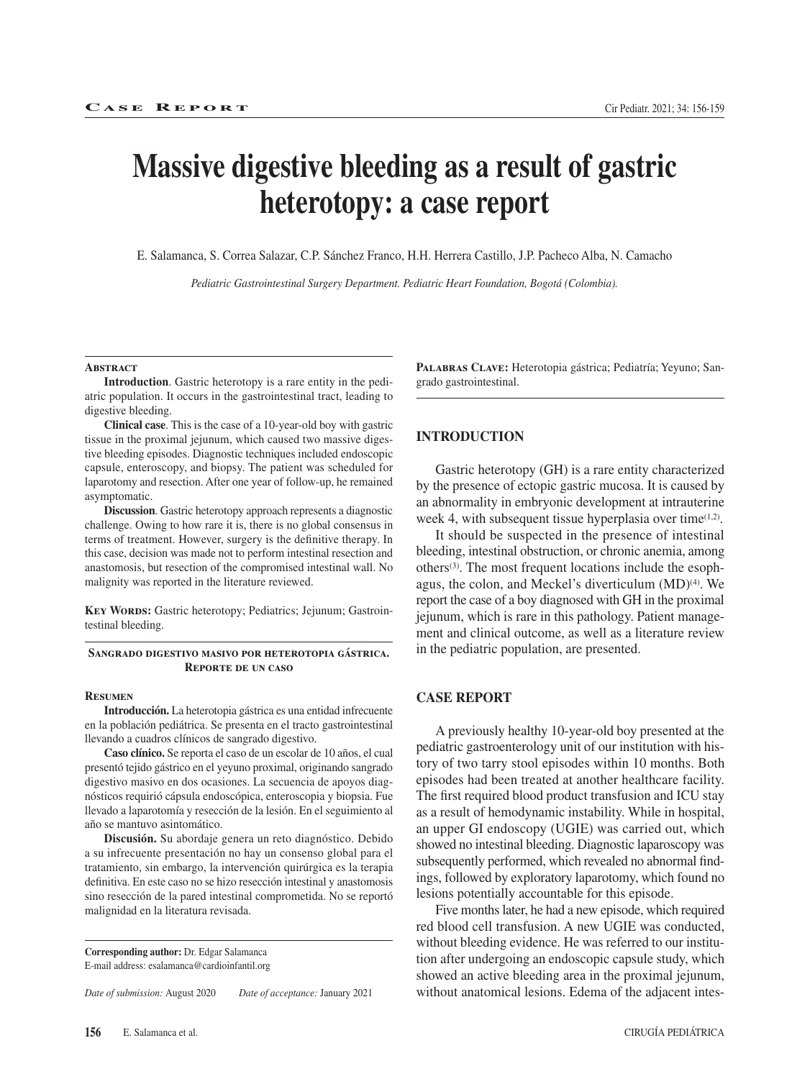# **Massive digestive bleeding as a result of gastric heterotopy: a case report**

E. Salamanca, S. Correa Salazar, C.P. Sánchez Franco, H.H. Herrera Castillo, J.P. Pacheco Alba, N. Camacho

*Pediatric Gastrointestinal Surgery Department. Pediatric Heart Foundation, Bogotá (Colombia).*

#### **ABSTRACT**

**Introduction**. Gastric heterotopy is a rare entity in the pediatric population. It occurs in the gastrointestinal tract, leading to digestive bleeding.

**Clinical case**. This is the case of a 10-year-old boy with gastric tissue in the proximal jejunum, which caused two massive digestive bleeding episodes. Diagnostic techniques included endoscopic capsule, enteroscopy, and biopsy. The patient was scheduled for laparotomy and resection. After one year of follow-up, he remained asymptomatic.

**Discussion**. Gastric heterotopy approach represents a diagnostic challenge. Owing to how rare it is, there is no global consensus in terms of treatment. However, surgery is the definitive therapy. In this case, decision was made not to perform intestinal resection and anastomosis, but resection of the compromised intestinal wall. No malignity was reported in the literature reviewed.

**Key Words:** Gastric heterotopy; Pediatrics; Jejunum; Gastrointestinal bleeding.

#### **Sangrado digestivo masivo por heterotopia gástrica. Reporte de un caso**

#### **Resumen**

**Introducción.** La heterotopia gástrica es una entidad infrecuente en la población pediátrica. Se presenta en el tracto gastrointestinal llevando a cuadros clínicos de sangrado digestivo.

**Caso clínico.** Se reporta el caso de un escolar de 10 años, el cual presentó tejido gástrico en el yeyuno proximal, originando sangrado digestivo masivo en dos ocasiones. La secuencia de apoyos diagnósticos requirió cápsula endoscópica, enteroscopia y biopsia. Fue llevado a laparotomía y resección de la lesión. En el seguimiento al año se mantuvo asintomático.

**Discusión.** Su abordaje genera un reto diagnóstico. Debido a su infrecuente presentación no hay un consenso global para el tratamiento, sin embargo, la intervención quirúrgica es la terapia definitiva. En este caso no se hizo resección intestinal y anastomosis sino resección de la pared intestinal comprometida. No se reportó malignidad en la literatura revisada.

**Corresponding author:** Dr. Edgar Salamanca E-mail address: esalamanca@cardioinfantil.org

*Date of submission:* August 2020 *Date of acceptance:* January 2021

**Palabras Clave:** Heterotopia gástrica; Pediatría; Yeyuno; Sangrado gastrointestinal.

#### **INTRODUCTION**

Gastric heterotopy (GH) is a rare entity characterized by the presence of ectopic gastric mucosa. It is caused by an abnormality in embryonic development at intrauterine week 4, with subsequent tissue hyperplasia over time $(1,2)$ .

It should be suspected in the presence of intestinal bleeding, intestinal obstruction, or chronic anemia, among others(3). The most frequent locations include the esophagus, the colon, and Meckel's diverticulum (MD)(4). We report the case of a boy diagnosed with GH in the proximal jejunum, which is rare in this pathology. Patient management and clinical outcome, as well as a literature review in the pediatric population, are presented.

## **CASE REPORT**

A previously healthy 10-year-old boy presented at the pediatric gastroenterology unit of our institution with history of two tarry stool episodes within 10 months. Both episodes had been treated at another healthcare facility. The first required blood product transfusion and ICU stay as a result of hemodynamic instability. While in hospital, an upper GI endoscopy (UGIE) was carried out, which showed no intestinal bleeding. Diagnostic laparoscopy was subsequently performed, which revealed no abnormal findings, followed by exploratory laparotomy, which found no lesions potentially accountable for this episode.

Five months later, he had a new episode, which required red blood cell transfusion. A new UGIE was conducted, without bleeding evidence. He was referred to our institution after undergoing an endoscopic capsule study, which showed an active bleeding area in the proximal jejunum, without anatomical lesions. Edema of the adjacent intes-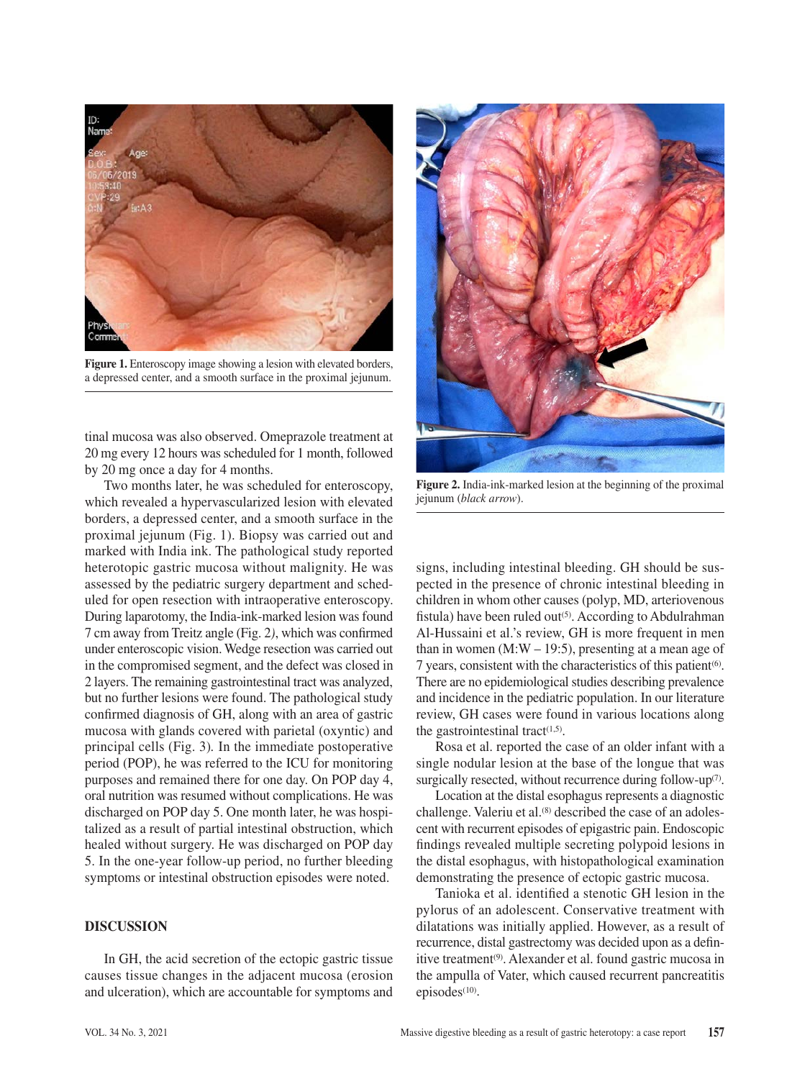

**Figure 1.** Enteroscopy image showing a lesion with elevated borders, a depressed center, and a smooth surface in the proximal jejunum.

tinal mucosa was also observed. Omeprazole treatment at 20 mg every 12 hours was scheduled for 1 month, followed by 20 mg once a day for 4 months.

Two months later, he was scheduled for enteroscopy, which revealed a hypervascularized lesion with elevated borders, a depressed center, and a smooth surface in the proximal jejunum (Fig. 1). Biopsy was carried out and marked with India ink. The pathological study reported heterotopic gastric mucosa without malignity. He was assessed by the pediatric surgery department and scheduled for open resection with intraoperative enteroscopy. During laparotomy, the India-ink-marked lesion was found 7 cm away from Treitz angle (Fig. 2*)*, which was confirmed under enteroscopic vision. Wedge resection was carried out in the compromised segment, and the defect was closed in 2 layers. The remaining gastrointestinal tract was analyzed, but no further lesions were found. The pathological study confirmed diagnosis of GH, along with an area of gastric mucosa with glands covered with parietal (oxyntic) and principal cells (Fig. 3)*.* In the immediate postoperative period (POP), he was referred to the ICU for monitoring purposes and remained there for one day. On POP day 4, oral nutrition was resumed without complications. He was discharged on POP day 5. One month later, he was hospitalized as a result of partial intestinal obstruction, which healed without surgery. He was discharged on POP day 5. In the one-year follow-up period, no further bleeding symptoms or intestinal obstruction episodes were noted.

## **DISCUSSION**

In GH, the acid secretion of the ectopic gastric tissue causes tissue changes in the adjacent mucosa (erosion and ulceration), which are accountable for symptoms and



**Figure 2.** India-ink-marked lesion at the beginning of the proximal jejunum (*black arrow*).

signs, including intestinal bleeding. GH should be suspected in the presence of chronic intestinal bleeding in children in whom other causes (polyp, MD, arteriovenous fistula) have been ruled out<sup>(5)</sup>. According to Abdulrahman Al-Hussaini et al.'s review, GH is more frequent in men than in women  $(M:W – 19:5)$ , presenting at a mean age of 7 years, consistent with the characteristics of this patient<sup>(6)</sup>. There are no epidemiological studies describing prevalence and incidence in the pediatric population. In our literature review, GH cases were found in various locations along the gastrointestinal tract $(1,5)$ .

Rosa et al. reported the case of an older infant with a single nodular lesion at the base of the longue that was surgically resected, without recurrence during follow-up<sup>(7)</sup>.

Location at the distal esophagus represents a diagnostic challenge. Valeriu et al.<sup>(8)</sup> described the case of an adolescent with recurrent episodes of epigastric pain. Endoscopic findings revealed multiple secreting polypoid lesions in the distal esophagus, with histopathological examination demonstrating the presence of ectopic gastric mucosa.

Tanioka et al. identified a stenotic GH lesion in the pylorus of an adolescent. Conservative treatment with dilatations was initially applied. However, as a result of recurrence, distal gastrectomy was decided upon as a definitive treatment(9). Alexander et al. found gastric mucosa in the ampulla of Vater, which caused recurrent pancreatitis episodes $(10)$ .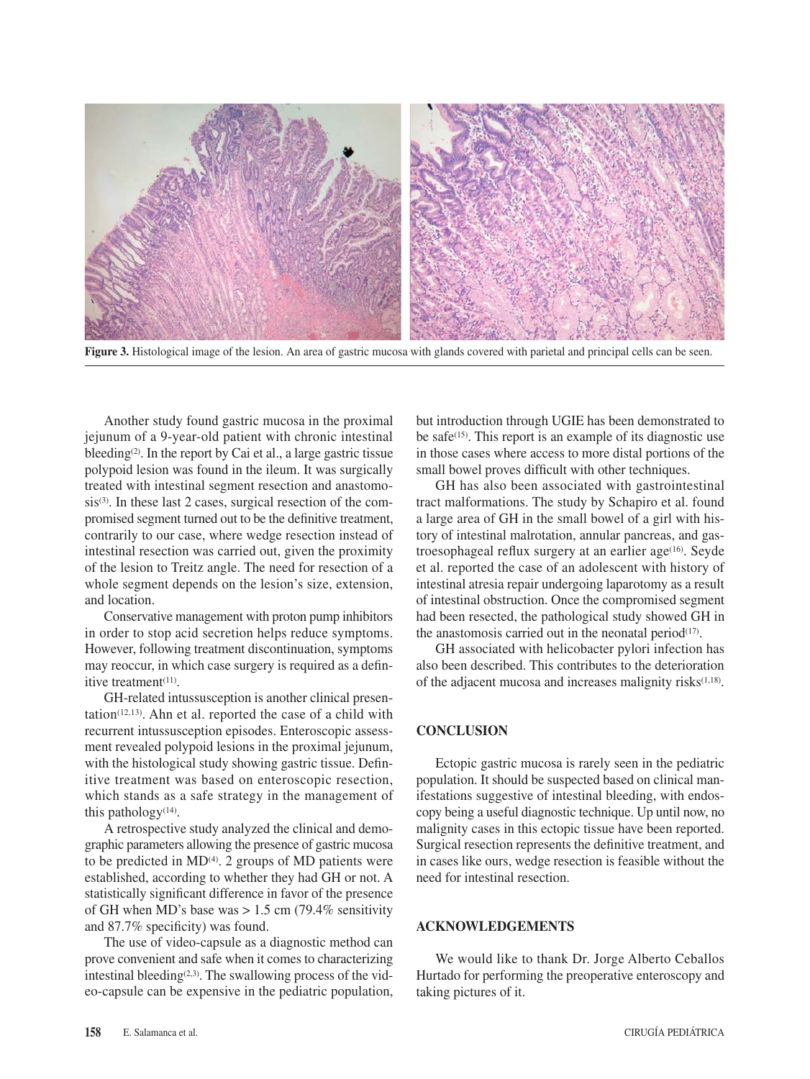

**Figure 3.** Histological image of the lesion. An area of gastric mucosa with glands covered with parietal and principal cells can be seen.

Another study found gastric mucosa in the proximal jejunum of a 9-year-old patient with chronic intestinal bleeding<sup>(2)</sup>. In the report by Cai et al., a large gastric tissue polypoid lesion was found in the ileum. It was surgically treated with intestinal segment resection and anastomosis<sup>(3)</sup>. In these last 2 cases, surgical resection of the compromised segment turned out to be the definitive treatment, contrarily to our case, where wedge resection instead of intestinal resection was carried out, given the proximity of the lesion to Treitz angle. The need for resection of a whole segment depends on the lesion's size, extension, and location.

Conservative management with proton pump inhibitors in order to stop acid secretion helps reduce symptoms. However, following treatment discontinuation, symptoms may reoccur, in which case surgery is required as a definitive treatment<sup>(11)</sup>.

GH-related intussusception is another clinical presen $tation(12,13)$ . Ahn et al. reported the case of a child with recurrent intussusception episodes. Enteroscopic assessment revealed polypoid lesions in the proximal jejunum, with the histological study showing gastric tissue. Definitive treatment was based on enteroscopic resection, which stands as a safe strategy in the management of this pathology<sup> $(14)$ </sup>.

A retrospective study analyzed the clinical and demographic parameters allowing the presence of gastric mucosa to be predicted in  $MD<sup>(4)</sup>$ . 2 groups of MD patients were established, according to whether they had GH or not. A statistically significant difference in favor of the presence of GH when MD's base was  $> 1.5$  cm (79.4% sensitivity and 87.7% specificity) was found.

The use of video-capsule as a diagnostic method can prove convenient and safe when it comes to characterizing intestinal bleeding $(2,3)$ . The swallowing process of the video-capsule can be expensive in the pediatric population,

but introduction through UGIE has been demonstrated to be safe $(15)$ . This report is an example of its diagnostic use in those cases where access to more distal portions of the small bowel proves difficult with other techniques.

GH has also been associated with gastrointestinal tract malformations. The study by Schapiro et al. found a large area of GH in the small bowel of a girl with history of intestinal malrotation, annular pancreas, and gastroesophageal reflux surgery at an earlier age<sup>(16)</sup>. Seyde et al. reported the case of an adolescent with history of intestinal atresia repair undergoing laparotomy as a result of intestinal obstruction. Once the compromised segment had been resected, the pathological study showed GH in the anastomosis carried out in the neonatal period $(17)$ .

GH associated with helicobacter pylori infection has also been described. This contributes to the deterioration of the adjacent mucosa and increases malignity risks $(1,18)$ .

## **CONCLUSION**

Ectopic gastric mucosa is rarely seen in the pediatric population. It should be suspected based on clinical manifestations suggestive of intestinal bleeding, with endoscopy being a useful diagnostic technique. Up until now, no malignity cases in this ectopic tissue have been reported. Surgical resection represents the definitive treatment, and in cases like ours, wedge resection is feasible without the need for intestinal resection.

# **ACKNOWLEDGEMENTS**

We would like to thank Dr. Jorge Alberto Ceballos Hurtado for performing the preoperative enteroscopy and taking pictures of it.